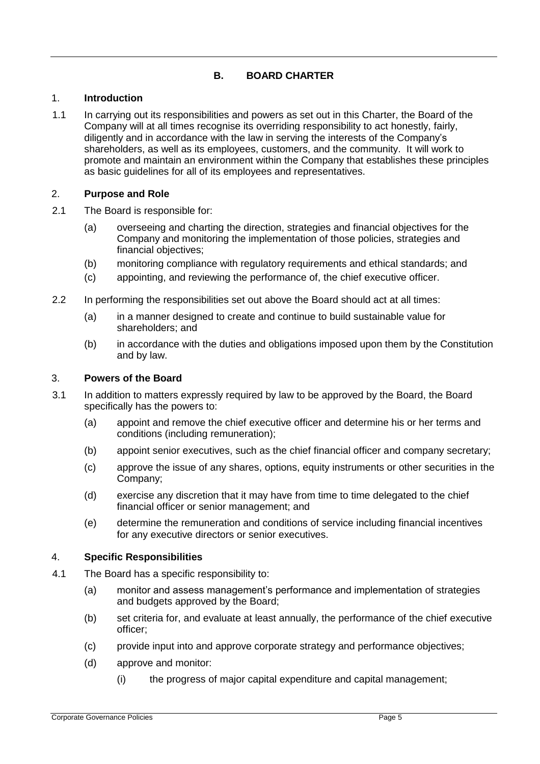# **B. BOARD CHARTER**

### 1. **Introduction**

1.1 In carrying out its responsibilities and powers as set out in this Charter, the Board of the Company will at all times recognise its overriding responsibility to act honestly, fairly, diligently and in accordance with the law in serving the interests of the Company's shareholders, as well as its employees, customers, and the community. It will work to promote and maintain an environment within the Company that establishes these principles as basic guidelines for all of its employees and representatives.

## 2. **Purpose and Role**

- 2.1 The Board is responsible for:
	- (a) overseeing and charting the direction, strategies and financial objectives for the Company and monitoring the implementation of those policies, strategies and financial objectives;
	- (b) monitoring compliance with regulatory requirements and ethical standards; and
	- (c) appointing, and reviewing the performance of, the chief executive officer.
- 2.2 In performing the responsibilities set out above the Board should act at all times:
	- (a) in a manner designed to create and continue to build sustainable value for shareholders; and
	- (b) in accordance with the duties and obligations imposed upon them by the Constitution and by law.

### 3. **Powers of the Board**

- 3.1 In addition to matters expressly required by law to be approved by the Board, the Board specifically has the powers to:
	- (a) appoint and remove the chief executive officer and determine his or her terms and conditions (including remuneration);
	- (b) appoint senior executives, such as the chief financial officer and company secretary;
	- (c) approve the issue of any shares, options, equity instruments or other securities in the Company;
	- (d) exercise any discretion that it may have from time to time delegated to the chief financial officer or senior management; and
	- (e) determine the remuneration and conditions of service including financial incentives for any executive directors or senior executives.

### 4. **Specific Responsibilities**

- 4.1 The Board has a specific responsibility to:
	- (a) monitor and assess management's performance and implementation of strategies and budgets approved by the Board;
	- (b) set criteria for, and evaluate at least annually, the performance of the chief executive officer;
	- (c) provide input into and approve corporate strategy and performance objectives;
	- (d) approve and monitor:
		- (i) the progress of major capital expenditure and capital management;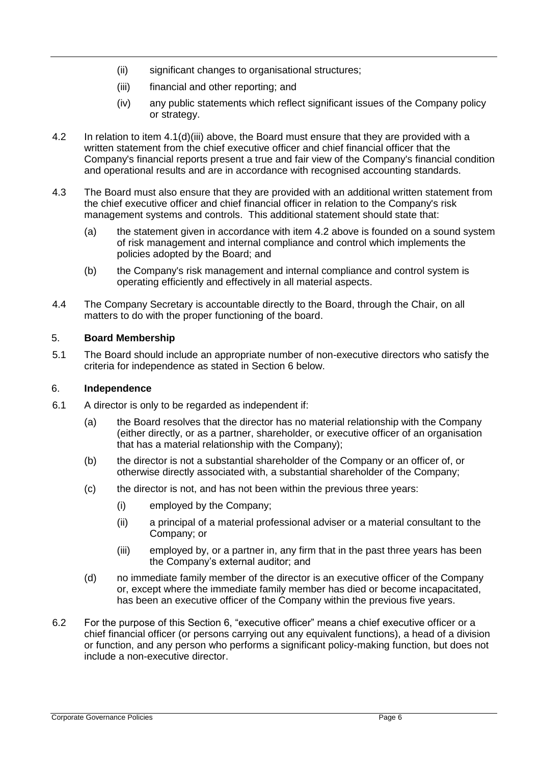- (ii) significant changes to organisational structures;
- (iii) financial and other reporting; and
- (iv) any public statements which reflect significant issues of the Company policy or strategy.
- 4.2 In relation to item 4.1(d)(iii) above, the Board must ensure that they are provided with a written statement from the chief executive officer and chief financial officer that the Company's financial reports present a true and fair view of the Company's financial condition and operational results and are in accordance with recognised accounting standards.
- 4.3 The Board must also ensure that they are provided with an additional written statement from the chief executive officer and chief financial officer in relation to the Company's risk management systems and controls. This additional statement should state that:
	- (a) the statement given in accordance with item 4.2 above is founded on a sound system of risk management and internal compliance and control which implements the policies adopted by the Board; and
	- (b) the Company's risk management and internal compliance and control system is operating efficiently and effectively in all material aspects.
- 4.4 The Company Secretary is accountable directly to the Board, through the Chair, on all matters to do with the proper functioning of the board.

### 5. **Board Membership**

5.1 The Board should include an appropriate number of non-executive directors who satisfy the criteria for independence as stated in Section 6 below.

### 6. **Independence**

- 6.1 A director is only to be regarded as independent if:
	- (a) the Board resolves that the director has no material relationship with the Company (either directly, or as a partner, shareholder, or executive officer of an organisation that has a material relationship with the Company);
	- (b) the director is not a substantial shareholder of the Company or an officer of, or otherwise directly associated with, a substantial shareholder of the Company;
	- (c) the director is not, and has not been within the previous three years:
		- (i) employed by the Company;
		- (ii) a principal of a material professional adviser or a material consultant to the Company; or
		- (iii) employed by, or a partner in, any firm that in the past three years has been the Company's external auditor; and
	- (d) no immediate family member of the director is an executive officer of the Company or, except where the immediate family member has died or become incapacitated, has been an executive officer of the Company within the previous five years.
- 6.2 For the purpose of this Section 6, "executive officer" means a chief executive officer or a chief financial officer (or persons carrying out any equivalent functions), a head of a division or function, and any person who performs a significant policy-making function, but does not include a non-executive director.